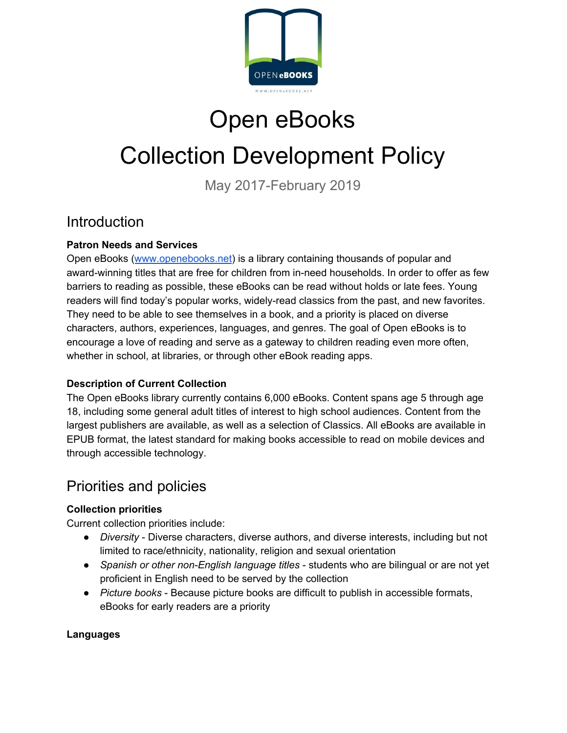

## Open eBooks

# Collection Development Policy

May 2017-February 2019

### Introduction

#### **Patron Needs and Services**

Open eBooks ([www.openebooks.net](http://www.openebooks.net/)) is a library containing thousands of popular and award-winning titles that are free for children from in-need households. In order to offer as few barriers to reading as possible, these eBooks can be read without holds or late fees. Young readers will find today's popular works, widely-read classics from the past, and new favorites. They need to be able to see themselves in a book, and a priority is placed on diverse characters, authors, experiences, languages, and genres. The goal of Open eBooks is to encourage a love of reading and serve as a gateway to children reading even more often, whether in school, at libraries, or through other eBook reading apps.

#### **Description of Current Collection**

The Open eBooks library currently contains 6,000 eBooks. Content spans age 5 through age 18, including some general adult titles of interest to high school audiences. Content from the largest publishers are available, as well as a selection of Classics. All eBooks are available in EPUB format, the latest standard for making books accessible to read on mobile devices and through accessible technology.

## Priorities and policies

### **Collection priorities**

Current collection priorities include:

- *Diversity* Diverse characters, diverse authors, and diverse interests, including but not limited to race/ethnicity, nationality, religion and sexual orientation
- *● Spanish or other non-English language titles* students who are bilingual or are not yet proficient in English need to be served by the collection
- *● Picture books* Because picture books are difficult to publish in accessible formats, eBooks for early readers are a priority

#### **Languages**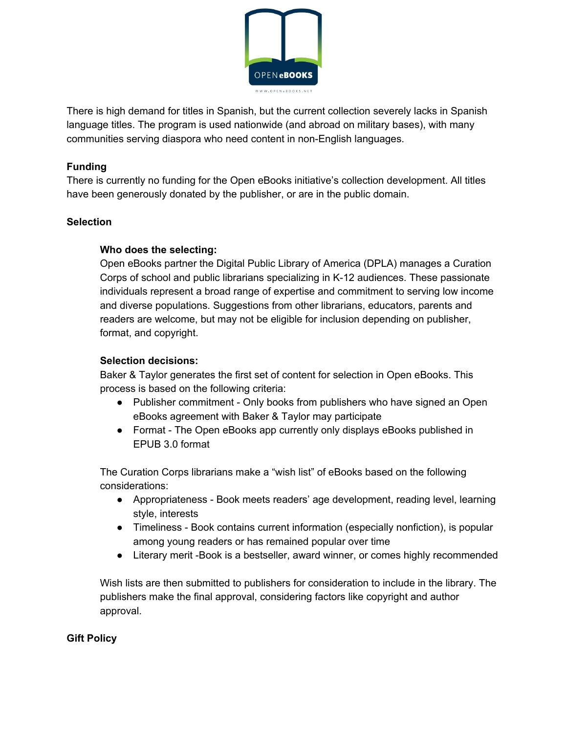

There is high demand for titles in Spanish, but the current collection severely lacks in Spanish language titles. The program is used nationwide (and abroad on military bases), with many communities serving diaspora who need content in non-English languages.

#### **Funding**

There is currently no funding for the Open eBooks initiative's collection development. All titles have been generously donated by the publisher, or are in the public domain.

#### **Selection**

#### **Who does the selecting:**

Open eBooks partner the Digital Public Library of America (DPLA) manages a Curation Corps of school and public librarians specializing in K-12 audiences. These passionate individuals represent a broad range of expertise and commitment to serving low income and diverse populations. Suggestions from other librarians, educators, parents and readers are welcome, but may not be eligible for inclusion depending on publisher, format, and copyright.

#### **Selection decisions:**

Baker & Taylor generates the first set of content for selection in Open eBooks. This process is based on the following criteria:

- Publisher commitment Only books from publishers who have signed an Open eBooks agreement with Baker & Taylor may participate
- Format The Open eBooks app currently only displays eBooks published in EPUB 3.0 format

The Curation Corps librarians make a "wish list" of eBooks based on the following considerations:

- Appropriateness Book meets readers' age development, reading level, learning style, interests
- Timeliness Book contains current information (especially nonfiction), is popular among young readers or has remained popular over time
- Literary merit -Book is a bestseller, award winner, or comes highly recommended

Wish lists are then submitted to publishers for consideration to include in the library. The publishers make the final approval, considering factors like copyright and author approval.

#### **Gift Policy**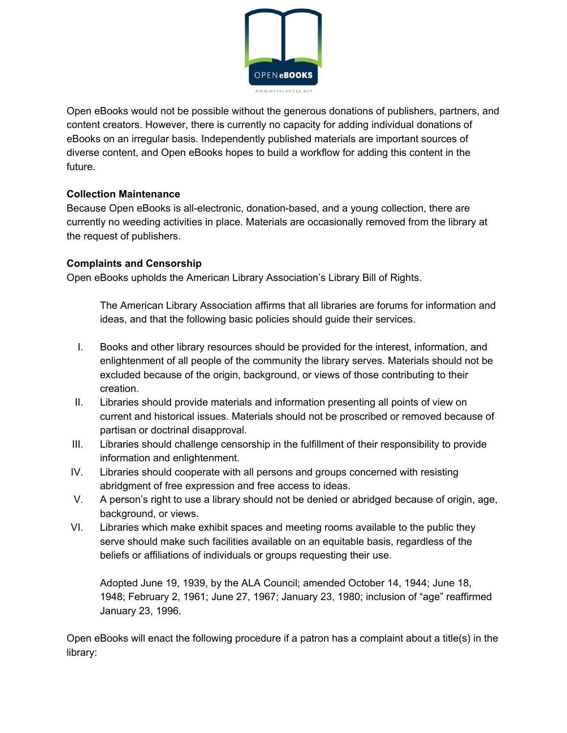

Open eBooks would not be possible without the generous donations of publishers, partners, and content creators. However, there is currently no capacity for adding individual donations of eBooks on an irregular basis. Independently published materials are important sources of diverse content, and Open eBooks hopes to build a workflow for adding this content in the future.

#### **Collection Maintenance**

Because Open eBooks is all-electronic, donation-based, and a young collection, there are currently no weeding activities in place. Materials are occasionally removed from the library at the request of publishers.

#### **Complaints and Censorship**

Open eBooks upholds the American Library Association's Library Bill of Rights.

The American Library Association affirms that all libraries are forums for information and ideas, and that the following basic policies should guide their services.

- I. Books and other library resources should be provided for the interest, information, and enlightenment of all people of the community the library serves. Materials should not be excluded because of the origin, background, or views of those contributing to their creation.
- II. Libraries should provide materials and information presenting all points of view on current and historical issues. Materials should not be proscribed or removed because of partisan or doctrinal disapproval.
- III. Libraries should challenge censorship in the fulfillment of their responsibility to provide information and enlightenment.
- IV. Libraries should cooperate with all persons and groups concerned with resisting abridgment of free expression and free access to ideas.
- V. A person's right to use a library should not be denied or abridged because of origin, age, background, or views.
- VI. Libraries which make exhibit spaces and meeting rooms available to the public they serve should make such facilities available on an equitable basis, regardless of the beliefs or affiliations of individuals or groups requesting their use.

Adopted June 19, 1939, by the ALA Council; amended October 14, 1944; June 18, 1948; February 2, 1961; June 27, 1967; January 23, 1980; inclusion of "age" reaffirmed January 23, 1996.

Open eBooks will enact the following procedure if a patron has a complaint about a title(s) in the library: